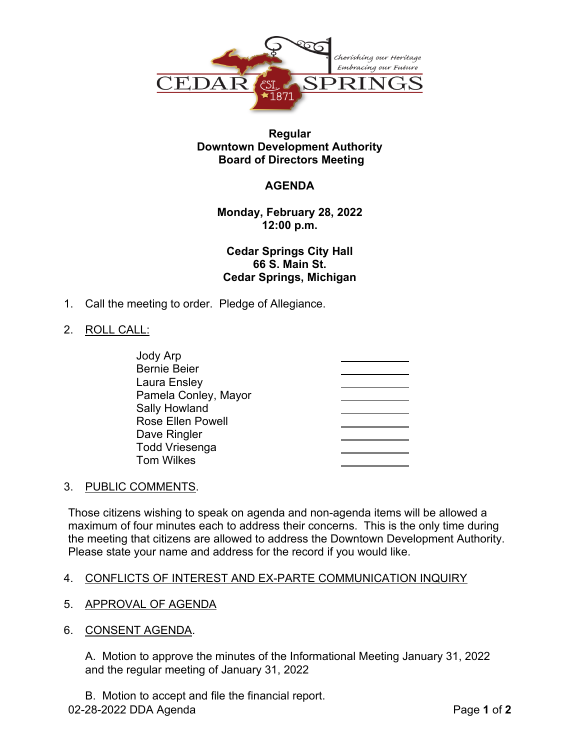

## **Regular Downtown Development Authority Board of Directors Meeting**

# **AGENDA**

**Monday, February 28, 2022 12:00 p.m.**

**Cedar Springs City Hall 66 S. Main St. Cedar Springs, Michigan**

1. Call the meeting to order. Pledge of Allegiance.

## 2. ROLL CALL:

| Jody Arp                 |  |
|--------------------------|--|
| <b>Bernie Beier</b>      |  |
| Laura Ensley             |  |
| Pamela Conley, Mayor     |  |
| <b>Sally Howland</b>     |  |
| <b>Rose Ellen Powell</b> |  |
| Dave Ringler             |  |
| <b>Todd Vriesenga</b>    |  |
| <b>Tom Wilkes</b>        |  |

#### 3. PUBLIC COMMENTS.

Those citizens wishing to speak on agenda and non-agenda items will be allowed a maximum of four minutes each to address their concerns. This is the only time during the meeting that citizens are allowed to address the Downtown Development Authority. Please state your name and address for the record if you would like.

# 4. CONFLICTS OF INTEREST AND EX-PARTE COMMUNICATION INQUIRY

- 5. APPROVAL OF AGENDA
- 6. CONSENT AGENDA.

A. Motion to approve the minutes of the Informational Meeting January 31, 2022 and the regular meeting of January 31, 2022

B. Motion to accept and file the financial report.